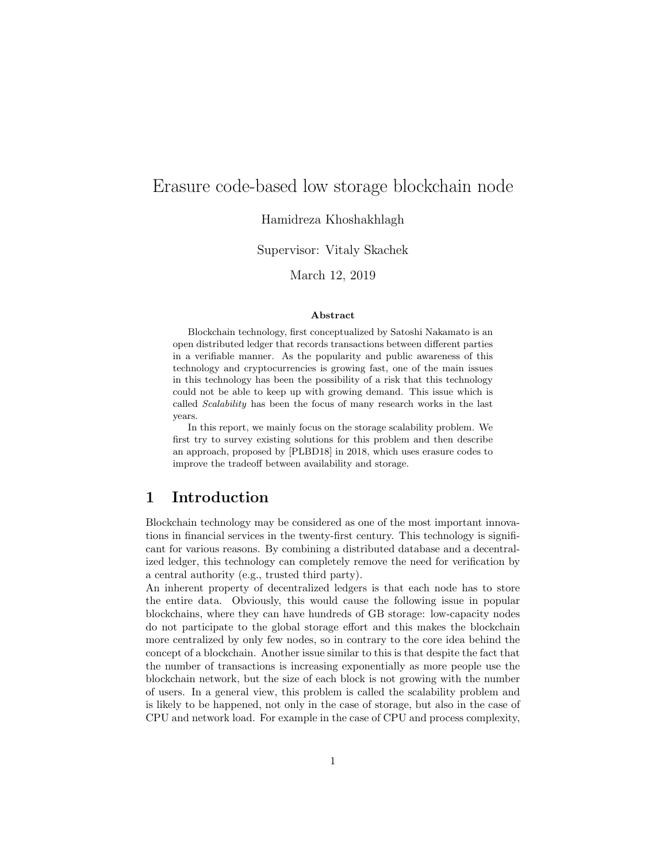# Erasure code-based low storage blockchain node

### Hamidreza Khoshakhlagh

#### Supervisor: Vitaly Skachek

### March 12, 2019

#### Abstract

Blockchain technology, first conceptualized by Satoshi Nakamato is an open distributed ledger that records transactions between different parties in a verifiable manner. As the popularity and public awareness of this technology and cryptocurrencies is growing fast, one of the main issues in this technology has been the possibility of a risk that this technology could not be able to keep up with growing demand. This issue which is called Scalability has been the focus of many research works in the last years.

In this report, we mainly focus on the storage scalability problem. We first try to survey existing solutions for this problem and then describe an approach, proposed by [PLBD18] in 2018, which uses erasure codes to improve the tradeoff between availability and storage.

### 1 Introduction

Blockchain technology may be considered as one of the most important innovations in financial services in the twenty-first century. This technology is significant for various reasons. By combining a distributed database and a decentralized ledger, this technology can completely remove the need for verification by a central authority (e.g., trusted third party).

An inherent property of decentralized ledgers is that each node has to store the entire data. Obviously, this would cause the following issue in popular blockchains, where they can have hundreds of GB storage: low-capacity nodes do not participate to the global storage effort and this makes the blockchain more centralized by only few nodes, so in contrary to the core idea behind the concept of a blockchain. Another issue similar to this is that despite the fact that the number of transactions is increasing exponentially as more people use the blockchain network, but the size of each block is not growing with the number of users. In a general view, this problem is called the scalability problem and is likely to be happened, not only in the case of storage, but also in the case of CPU and network load. For example in the case of CPU and process complexity,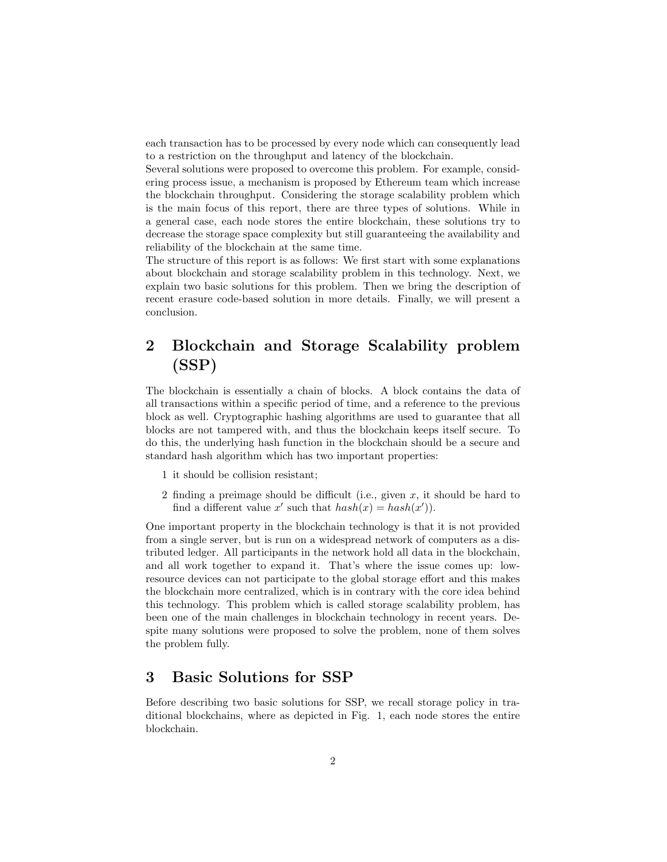each transaction has to be processed by every node which can consequently lead to a restriction on the throughput and latency of the blockchain.

Several solutions were proposed to overcome this problem. For example, considering process issue, a mechanism is proposed by Ethereum team which increase the blockchain throughput. Considering the storage scalability problem which is the main focus of this report, there are three types of solutions. While in a general case, each node stores the entire blockchain, these solutions try to decrease the storage space complexity but still guaranteeing the availability and reliability of the blockchain at the same time.

The structure of this report is as follows: We first start with some explanations about blockchain and storage scalability problem in this technology. Next, we explain two basic solutions for this problem. Then we bring the description of recent erasure code-based solution in more details. Finally, we will present a conclusion.

# 2 Blockchain and Storage Scalability problem (SSP)

The blockchain is essentially a chain of blocks. A block contains the data of all transactions within a specific period of time, and a reference to the previous block as well. Cryptographic hashing algorithms are used to guarantee that all blocks are not tampered with, and thus the blockchain keeps itself secure. To do this, the underlying hash function in the blockchain should be a secure and standard hash algorithm which has two important properties:

- 1 it should be collision resistant;
- 2 finding a preimage should be difficult (i.e., given  $x$ , it should be hard to find a different value x' such that  $hash(x) = hash(x')$ .

One important property in the blockchain technology is that it is not provided from a single server, but is run on a widespread network of computers as a distributed ledger. All participants in the network hold all data in the blockchain, and all work together to expand it. That's where the issue comes up: lowresource devices can not participate to the global storage effort and this makes the blockchain more centralized, which is in contrary with the core idea behind this technology. This problem which is called storage scalability problem, has been one of the main challenges in blockchain technology in recent years. Despite many solutions were proposed to solve the problem, none of them solves the problem fully.

### 3 Basic Solutions for SSP

Before describing two basic solutions for SSP, we recall storage policy in traditional blockchains, where as depicted in Fig. 1, each node stores the entire blockchain.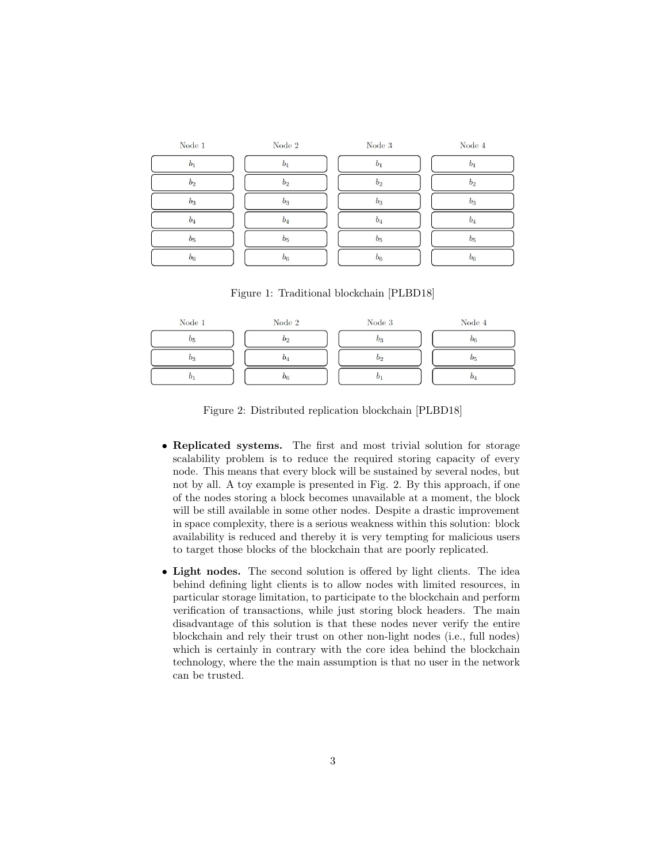| Node $1$       | Node $2\,$     | Node 3         | Node 4         |
|----------------|----------------|----------------|----------------|
| $b_1$          | $b_1$          | b <sub>1</sub> | b <sub>1</sub> |
| b <sub>2</sub> | b <sub>2</sub> | b <sub>2</sub> | b <sub>2</sub> |
| $b_3$          | $b_3$          | $b_3$          | $b_3$          |
| $b_4$          | $b_4$          | $b_4$          | $b_4$          |
| b <sub>5</sub> | b <sub>5</sub> | b <sub>5</sub> | b <sub>5</sub> |
| $b_6$          | $b_6$          | $b_6$          | $b_6$          |

Figure 1: Traditional blockchain [PLBD18]

| Node $1$ | Node 2 | Node 3 | Node 4           |
|----------|--------|--------|------------------|
| U.       | 02     |        | 06               |
|          |        |        | $\boldsymbol{v}$ |
|          | $U_6$  |        |                  |

Figure 2: Distributed replication blockchain [PLBD18]

- Replicated systems. The first and most trivial solution for storage scalability problem is to reduce the required storing capacity of every node. This means that every block will be sustained by several nodes, but not by all. A toy example is presented in Fig. 2. By this approach, if one of the nodes storing a block becomes unavailable at a moment, the block will be still available in some other nodes. Despite a drastic improvement in space complexity, there is a serious weakness within this solution: block availability is reduced and thereby it is very tempting for malicious users to target those blocks of the blockchain that are poorly replicated.
- Light nodes. The second solution is offered by light clients. The idea behind defining light clients is to allow nodes with limited resources, in particular storage limitation, to participate to the blockchain and perform verification of transactions, while just storing block headers. The main disadvantage of this solution is that these nodes never verify the entire blockchain and rely their trust on other non-light nodes (i.e., full nodes) which is certainly in contrary with the core idea behind the blockchain technology, where the the main assumption is that no user in the network can be trusted.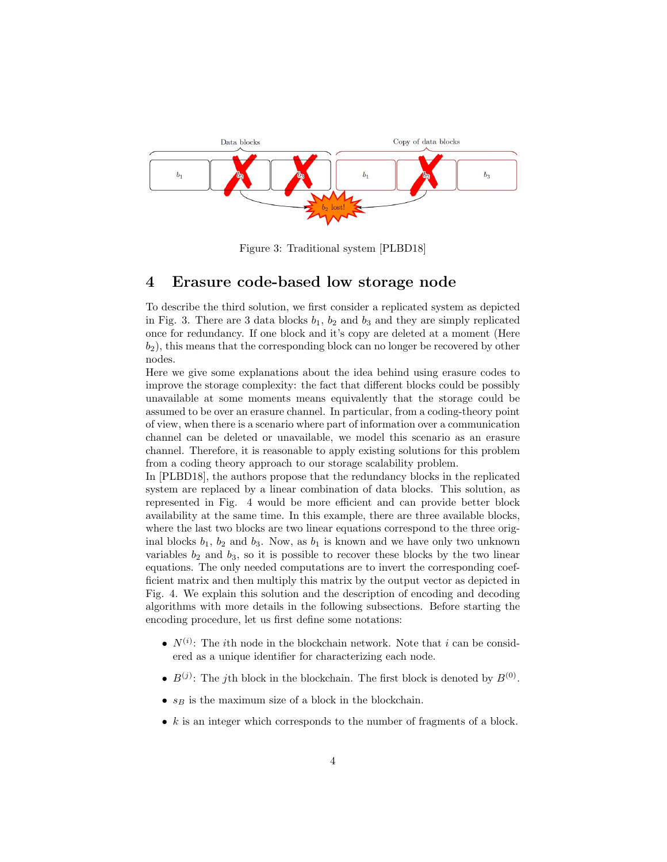

Figure 3: Traditional system [PLBD18]

### 4 Erasure code-based low storage node

To describe the third solution, we first consider a replicated system as depicted in Fig. 3. There are 3 data blocks  $b_1$ ,  $b_2$  and  $b_3$  and they are simply replicated once for redundancy. If one block and it's copy are deleted at a moment (Here  $b_2$ , this means that the corresponding block can no longer be recovered by other nodes.

Here we give some explanations about the idea behind using erasure codes to improve the storage complexity: the fact that different blocks could be possibly unavailable at some moments means equivalently that the storage could be assumed to be over an erasure channel. In particular, from a coding-theory point of view, when there is a scenario where part of information over a communication channel can be deleted or unavailable, we model this scenario as an erasure channel. Therefore, it is reasonable to apply existing solutions for this problem from a coding theory approach to our storage scalability problem.

In [PLBD18], the authors propose that the redundancy blocks in the replicated system are replaced by a linear combination of data blocks. This solution, as represented in Fig. 4 would be more efficient and can provide better block availability at the same time. In this example, there are three available blocks, where the last two blocks are two linear equations correspond to the three original blocks  $b_1$ ,  $b_2$  and  $b_3$ . Now, as  $b_1$  is known and we have only two unknown variables  $b_2$  and  $b_3$ , so it is possible to recover these blocks by the two linear equations. The only needed computations are to invert the corresponding coefficient matrix and then multiply this matrix by the output vector as depicted in Fig. 4. We explain this solution and the description of encoding and decoding algorithms with more details in the following subsections. Before starting the encoding procedure, let us first define some notations:

- $N^{(i)}$ : The *i*th node in the blockchain network. Note that *i* can be considered as a unique identifier for characterizing each node.
- $B^{(j)}$ : The jth block in the blockchain. The first block is denoted by  $B^{(0)}$ .
- $s_B$  is the maximum size of a block in the blockchain.
- $k$  is an integer which corresponds to the number of fragments of a block.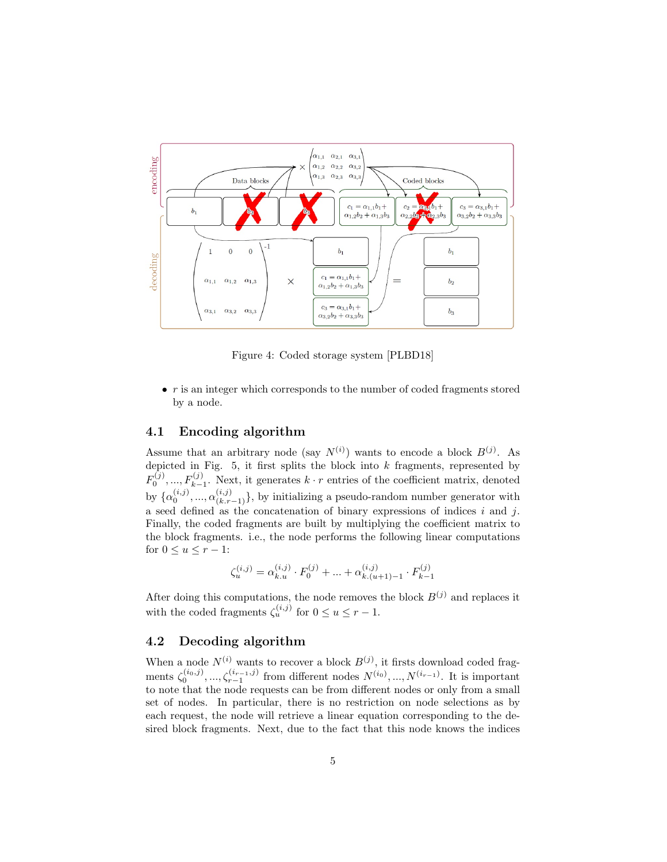

Figure 4: Coded storage system [PLBD18]

 $\bullet$  r is an integer which corresponds to the number of coded fragments stored by a node.

### 4.1 Encoding algorithm

Assume that an arbitrary node (say  $N^{(i)}$ ) wants to encode a block  $B^{(j)}$ . As depicted in Fig.  $5$ , it first splits the block into  $k$  fragments, represented by  $F_0^{(j)},...,F_{k-1}^{(j)}$ . Next, it generates  $k \cdot r$  entries of the coefficient matrix, denoted by  $\{\alpha_0^{(i,j)},\ldots,\alpha_{(k,r-1)}^{(i,j)}\}$ , by initializing a pseudo-random number generator with a seed defined as the concatenation of binary expressions of indices i and j. Finally, the coded fragments are built by multiplying the coefficient matrix to the block fragments. i.e., the node performs the following linear computations for  $0 \le u \le r - 1$ :

$$
\zeta^{(i,j)}_u = \alpha^{(i,j)}_{k.u} \cdot F^{(j)}_0 + ... + \alpha^{(i,j)}_{k.(u+1)-1} \cdot F^{(j)}_{k-1}
$$

After doing this computations, the node removes the block  $B^{(j)}$  and replaces it with the coded fragments  $\zeta_u^{(i,j)}$  for  $0 \le u \le r - 1$ .

### 4.2 Decoding algorithm

When a node  $N^{(i)}$  wants to recover a block  $B^{(j)}$ , it firsts download coded fragments  $\zeta_0^{(i_0,j)},...,\zeta_{r-1}^{(i_{r-1},j)}$  from different nodes  $N^{(i_0)},...,N^{(i_{r-1})}$ . It is important to note that the node requests can be from different nodes or only from a small set of nodes. In particular, there is no restriction on node selections as by each request, the node will retrieve a linear equation corresponding to the desired block fragments. Next, due to the fact that this node knows the indices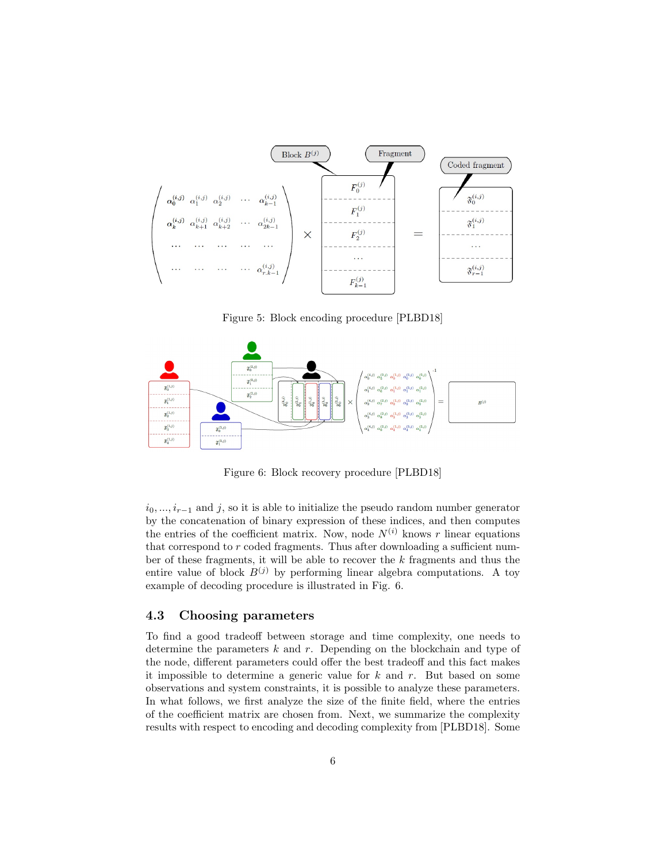

Figure 5: Block encoding procedure [PLBD18]



Figure 6: Block recovery procedure [PLBD18]

 $i_0, ..., i_{r-1}$  and j, so it is able to initialize the pseudo random number generator by the concatenation of binary expression of these indices, and then computes the entries of the coefficient matrix. Now, node  $N^{(i)}$  knows r linear equations that correspond to  $r$  coded fragments. Thus after downloading a sufficient number of these fragments, it will be able to recover the k fragments and thus the entire value of block  $B^{(j)}$  by performing linear algebra computations. A toy example of decoding procedure is illustrated in Fig. 6.

#### 4.3 Choosing parameters

To find a good tradeoff between storage and time complexity, one needs to determine the parameters  $k$  and  $r$ . Depending on the blockchain and type of the node, different parameters could offer the best tradeoff and this fact makes it impossible to determine a generic value for  $k$  and  $r$ . But based on some observations and system constraints, it is possible to analyze these parameters. In what follows, we first analyze the size of the finite field, where the entries of the coefficient matrix are chosen from. Next, we summarize the complexity results with respect to encoding and decoding complexity from [PLBD18]. Some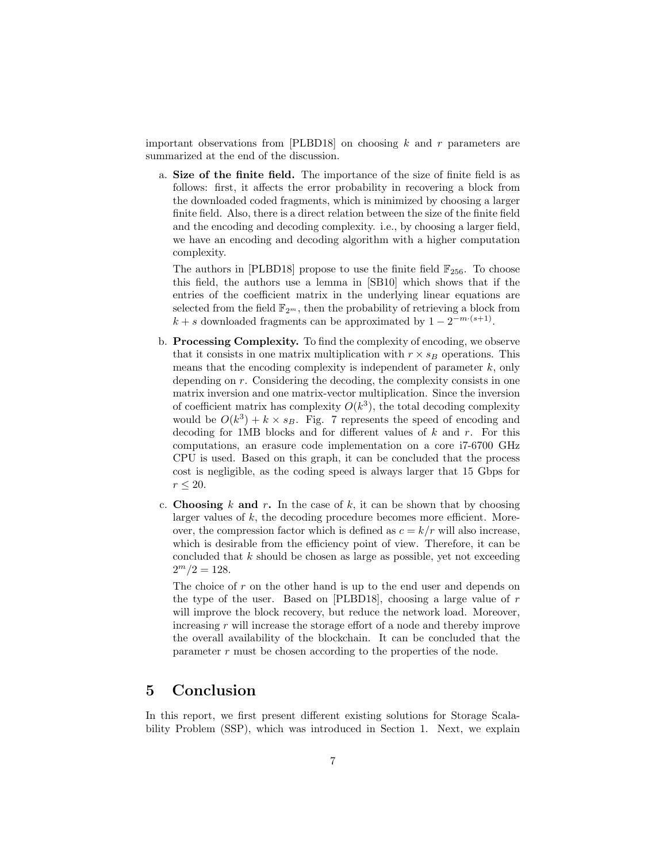important observations from  $[PLBD18]$  on choosing k and r parameters are summarized at the end of the discussion.

a. Size of the finite field. The importance of the size of finite field is as follows: first, it affects the error probability in recovering a block from the downloaded coded fragments, which is minimized by choosing a larger finite field. Also, there is a direct relation between the size of the finite field and the encoding and decoding complexity. i.e., by choosing a larger field, we have an encoding and decoding algorithm with a higher computation complexity.

The authors in [PLBD18] propose to use the finite field  $\mathbb{F}_{256}$ . To choose this field, the authors use a lemma in [SB10] which shows that if the entries of the coefficient matrix in the underlying linear equations are selected from the field  $\mathbb{F}_{2^m}$ , then the probability of retrieving a block from  $k + s$  downloaded fragments can be approximated by  $1 - 2^{-m \cdot (s+1)}$ .

- b. Processing Complexity. To find the complexity of encoding, we observe that it consists in one matrix multiplication with  $r \times s_B$  operations. This means that the encoding complexity is independent of parameter  $k$ , only depending on r. Considering the decoding, the complexity consists in one matrix inversion and one matrix-vector multiplication. Since the inversion of coefficient matrix has complexity  $O(k^3)$ , the total decoding complexity would be  $O(k^3) + k \times s_B$ . Fig. 7 represents the speed of encoding and decoding for 1MB blocks and for different values of  $k$  and  $r$ . For this computations, an erasure code implementation on a core i7-6700 GHz CPU is used. Based on this graph, it can be concluded that the process cost is negligible, as the coding speed is always larger that 15 Gbps for  $r \leq 20$ .
- c. Choosing k and r. In the case of k, it can be shown that by choosing larger values of  $k$ , the decoding procedure becomes more efficient. Moreover, the compression factor which is defined as  $c = k/r$  will also increase, which is desirable from the efficiency point of view. Therefore, it can be concluded that  $k$  should be chosen as large as possible, yet not exceeding  $2^m/2 = 128.$

The choice of  $r$  on the other hand is up to the end user and depends on the type of the user. Based on [PLBD18], choosing a large value of  $r$ will improve the block recovery, but reduce the network load. Moreover, increasing r will increase the storage effort of a node and thereby improve the overall availability of the blockchain. It can be concluded that the parameter  $r$  must be chosen according to the properties of the node.

### 5 Conclusion

In this report, we first present different existing solutions for Storage Scalability Problem (SSP), which was introduced in Section 1. Next, we explain